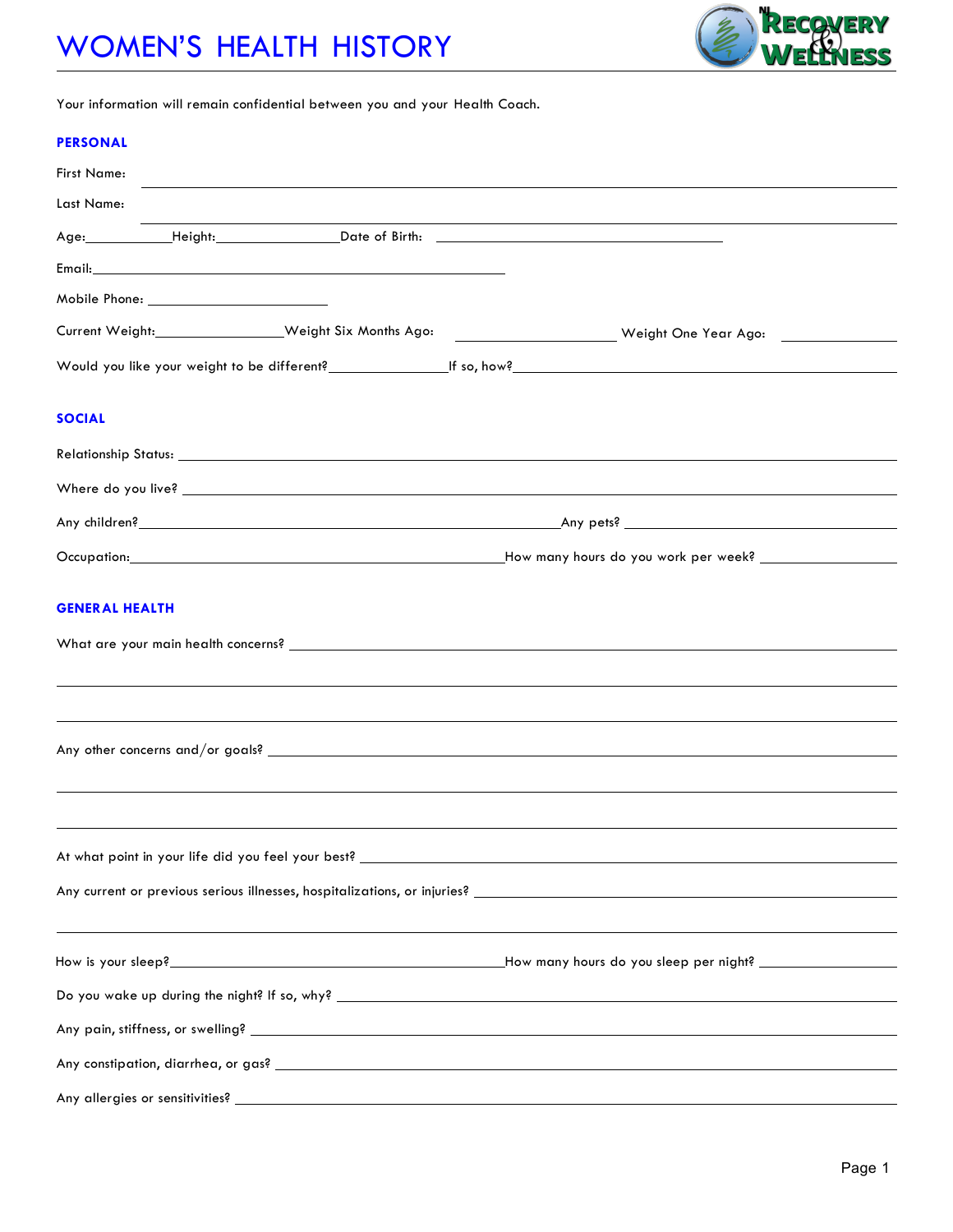# WOMEN'S HEALTH HISTORY



Your information will remain confidential between you and your Health Coach.

#### **PERSONAL**

| <b>First Name:</b> |                                                                   |  |  |                                                                                                                                                                                                                                |  |  |  |  |
|--------------------|-------------------------------------------------------------------|--|--|--------------------------------------------------------------------------------------------------------------------------------------------------------------------------------------------------------------------------------|--|--|--|--|
| Last Name:         |                                                                   |  |  |                                                                                                                                                                                                                                |  |  |  |  |
|                    |                                                                   |  |  | Age: Height: Date of Birth: National Age: National Property of Birth: National Property of Birth: National Property of Birth: National Property of Birth: National Property of Birth: National Property of Birth: National Pro |  |  |  |  |
|                    |                                                                   |  |  |                                                                                                                                                                                                                                |  |  |  |  |
|                    |                                                                   |  |  |                                                                                                                                                                                                                                |  |  |  |  |
|                    |                                                                   |  |  | Current Weight:_________________Weight Six Months Ago: __________________________ Weight One Year Ago: _____________                                                                                                           |  |  |  |  |
|                    |                                                                   |  |  |                                                                                                                                                                                                                                |  |  |  |  |
| <b>SOCIAL</b>      |                                                                   |  |  |                                                                                                                                                                                                                                |  |  |  |  |
|                    |                                                                   |  |  |                                                                                                                                                                                                                                |  |  |  |  |
|                    |                                                                   |  |  | Where do you live? Note that the state of the state of the state of the state of the state of the state of the                                                                                                                 |  |  |  |  |
|                    |                                                                   |  |  |                                                                                                                                                                                                                                |  |  |  |  |
|                    |                                                                   |  |  |                                                                                                                                                                                                                                |  |  |  |  |
|                    |                                                                   |  |  |                                                                                                                                                                                                                                |  |  |  |  |
|                    |                                                                   |  |  |                                                                                                                                                                                                                                |  |  |  |  |
|                    |                                                                   |  |  |                                                                                                                                                                                                                                |  |  |  |  |
|                    | At what point in your life did you feel your best? ______________ |  |  |                                                                                                                                                                                                                                |  |  |  |  |
|                    |                                                                   |  |  |                                                                                                                                                                                                                                |  |  |  |  |
|                    |                                                                   |  |  |                                                                                                                                                                                                                                |  |  |  |  |
|                    |                                                                   |  |  |                                                                                                                                                                                                                                |  |  |  |  |
|                    |                                                                   |  |  |                                                                                                                                                                                                                                |  |  |  |  |
|                    |                                                                   |  |  |                                                                                                                                                                                                                                |  |  |  |  |
|                    |                                                                   |  |  |                                                                                                                                                                                                                                |  |  |  |  |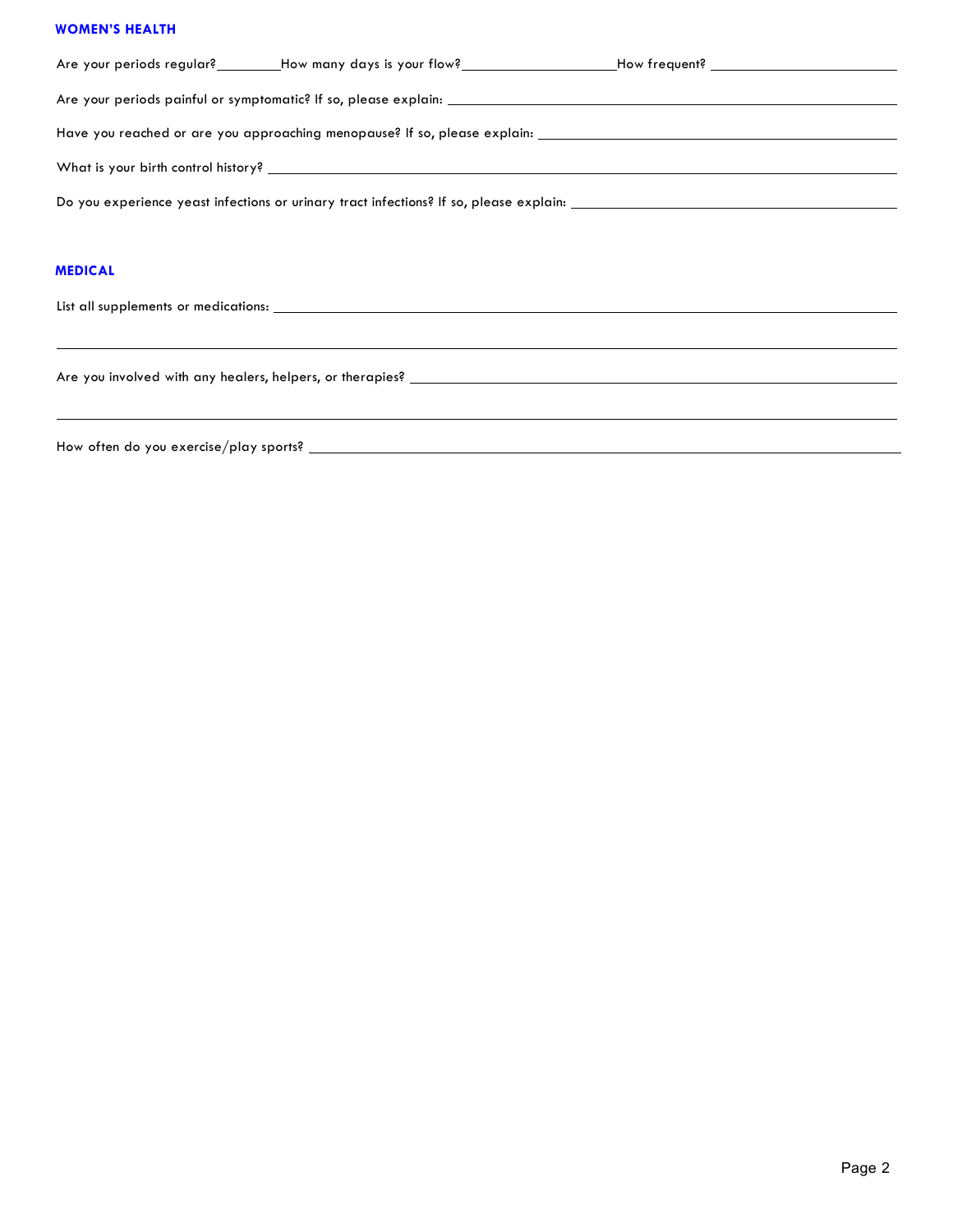#### **WOMEN'S HEALTH**

|                |  | Are your periods regular?________How many days is your flow?_____________________How frequent?________________ |  |  |  |  |  |
|----------------|--|----------------------------------------------------------------------------------------------------------------|--|--|--|--|--|
|                |  |                                                                                                                |  |  |  |  |  |
|                |  |                                                                                                                |  |  |  |  |  |
|                |  |                                                                                                                |  |  |  |  |  |
|                |  |                                                                                                                |  |  |  |  |  |
|                |  |                                                                                                                |  |  |  |  |  |
| <b>MEDICAL</b> |  |                                                                                                                |  |  |  |  |  |
|                |  |                                                                                                                |  |  |  |  |  |
|                |  |                                                                                                                |  |  |  |  |  |
|                |  |                                                                                                                |  |  |  |  |  |
|                |  |                                                                                                                |  |  |  |  |  |

How often do you exercise/play sports?